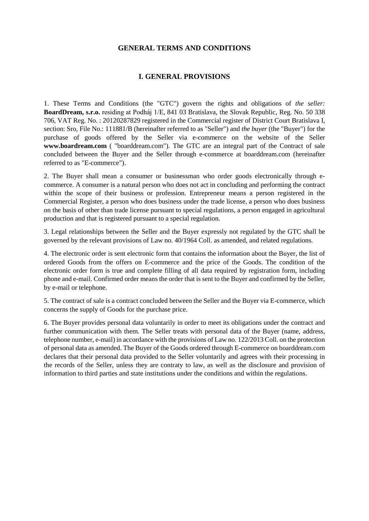#### **GENERAL TERMS AND CONDITIONS**

#### **I. GENERAL PROVISIONS**

1. These Terms and Conditions (the "GTC") govern the rights and obligations of *the seller:*  **BoardDream, s.r.o.** residing at Podháj 1/E, 841 03 Bratislava, the Slovak Republic, Reg. No. 50 338 706, VAT Reg. No. : 20120287829 registered in the Commercial register of District Court Bratislava I, section: Sro, File No.: 111881/B (hereinafter referred to as "Seller") and *the buyer* (the "Buyer") for the purchase of goods offered by the Seller via e-commerce on the website of the Seller **www.boardream.com** ( "boarddream.com"). The GTC are an integral part of the Contract of sale concluded between the Buyer and the Seller through e-commerce at boarddream.com (hereinafter referred to as "E-commerce").

2. The Buyer shall mean a consumer or businessman who order goods electronically through ecommerce. A consumer is a natural person who does not act in concluding and performing the contract within the scope of their business or profession. Entrepreneur means a person registered in the Commercial Register, a person who does business under the trade license, a person who does business on the basis of other than trade license pursuant to special regulations, a person engaged in agricultural production and that is registered pursuant to a special regulation.

3. Legal relationships between the Seller and the Buyer expressly not regulated by the GTC shall be governed by the relevant provisions of Law no. 40/1964 Coll. as amended, and related regulations.

4. The electronic order is sent electronic form that contains the information about the Buyer, the list of ordered Goods from the offers on E-commerce and the price of the Goods. The condition of the electronic order form is true and complete filling of all data required by registration form, including phone and e-mail. Confirmed order means the order that is sent to the Buyer and confirmed by the Seller, by e-mail or telephone.

5. The contract of sale is a contract concluded between the Seller and the Buyer via E-commerce, which concerns the supply of Goods for the purchase price.

6. The Buyer provides personal data voluntarily in order to meet its obligations under the contract and further communication with them. The Seller treats with personal data of the Buyer (name, address, telephone number, e-mail) in accordance with the provisions of Law no. 122/2013 Coll. on the protection of personal data as amended. The Buyer of the Goods ordered through E-commerce on boarddream.com declares that their personal data provided to the Seller voluntarily and agrees with their processing in the records of the Seller, unless they are contraty to law, as well as the disclosure and provision of information to third parties and state institutions under the conditions and within the regulations.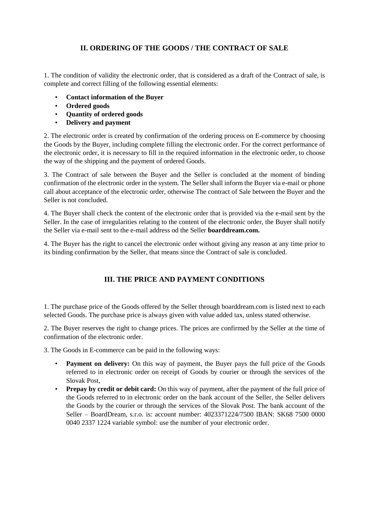## **II. ORDERING OF THE GOODS / THE CONTRACT OF SALE**

1. The condition of validity the electronic order, that is considered as a draft of the Contract of sale, is complete and correct filling of the following essential elements:

- **Contact information of the Buyer**
- **Ordered goods**
- **Quantity of ordered goods**
- **Delivery and payment**

2. The electronic order is created by confirmation of the ordering process on E-commerce by choosing the Goods by the Buyer, including complete filling the electronic order. For the correct performance of the electronic order, it is necessary to fill in the required information in the electronic order, to choose the way of the shipping and the payment of ordered Goods.

3. The Contract of sale between the Buyer and the Seller is concluded at the moment of binding confirmation of the electronic order in the system. The Seller shall inform the Buyer via e-mail or phone call about acceptance of the electronic order, otherwise The contract of Sale between the Buyer and the Seller is not concluded.

4. The Buyer shall check the content of the electronic order that is provided via the e-mail sent by the Seller. In the case of irregularities relating to the content of the electronic order, the Buyer shall notify the Seller via e-mail sent to the e-mail address od the Seller **boarddream.com.**

4. The Buyer has the right to cancel the electronic order without giving any reason at any time prior to its binding confirmation by the Seller, that means since the Contract of sale is concluded.

# **III. THE PRICE AND PAYMENT CONDITIONS**

1. The purchase price of the Goods offered by the Seller through boarddream.com is listed next to each selected Goods. The purchase price is always given with value added tax, unless stated otherwise.

2. The Buyer reserves the right to change prices. The prices are confirmed by the Seller at the time of confirmation of the electronic order.

3. The Goods in E-commerce can be paid in the following ways:

- **Payment on delivery:** On this way of payment, the Buyer pays the full price of the Goods referred to in electronic order on receipt of Goods by courier or through the services of the Slovak Post,
- **Prepay by credit or debit card:** On this way of payment, after the payment of the full price of the Goods referred to in electronic order on the bank account of the Seller, the Seller delivers the Goods by the courier or through the services of the Slovak Post. The bank account of the Seller – BoardDream, s.r.o. is: account number: 4023371224/7500 IBAN: SK68 7500 0000 0040 2337 1224 variable symbol: use the number of your electronic order.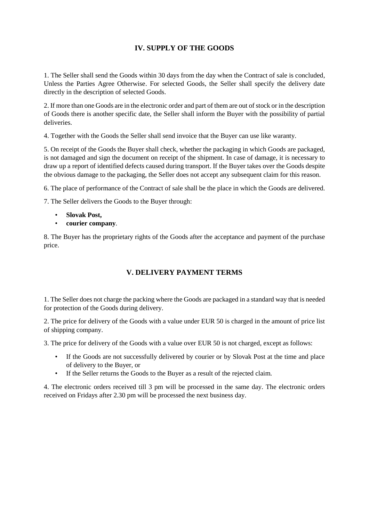### **IV. SUPPLY OF THE GOODS**

1. The Seller shall send the Goods within 30 days from the day when the Contract of sale is concluded, Unless the Parties Agree Otherwise. For selected Goods, the Seller shall specify the delivery date directly in the description of selected Goods.

2. If more than one Goods are in the electronic order and part of them are out of stock or in the description of Goods there is another specific date, the Seller shall inform the Buyer with the possibility of partial deliveries.

4. Together with the Goods the Seller shall send invoice that the Buyer can use like waranty.

5. On receipt of the Goods the Buyer shall check, whether the packaging in which Goods are packaged, is not damaged and sign the document on receipt of the shipment. In case of damage, it is necessary to draw up a report of identified defects caused during transport. If the Buyer takes over the Goods despite the obvious damage to the packaging, the Seller does not accept any subsequent claim for this reason.

6. The place of performance of the Contract of sale shall be the place in which the Goods are delivered.

7. The Seller delivers the Goods to the Buyer through:

#### • **Slovak Post,**

• **courier company**.

8. The Buyer has the proprietary rights of the Goods after the acceptance and payment of the purchase price.

# **V. DELIVERY PAYMENT TERMS**

1. The Seller does not charge the packing where the Goods are packaged in a standard way that is needed for protection of the Goods during delivery.

2. The price for delivery of the Goods with a value under EUR 50 is charged in the amount of price list of shipping company.

3. The price for delivery of the Goods with a value over EUR 50 is not charged, except as follows:

- If the Goods are not successfully delivered by courier or by Slovak Post at the time and place of delivery to the Buyer, or
- If the Seller returns the Goods to the Buyer as a result of the rejected claim.

4. The electronic orders received till 3 pm will be processed in the same day. The electronic orders received on Fridays after 2.30 pm will be processed the next business day.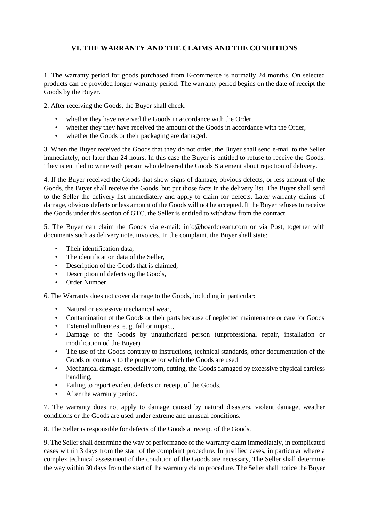# **VI. THE WARRANTY AND THE CLAIMS AND THE CONDITIONS**

1. The warranty period for goods purchased from E-commerce is normally 24 months. On selected products can be provided longer warranty period. The warranty period begins on the date of receipt the Goods by the Buyer.

2. After receiving the Goods, the Buyer shall check:

- whether they have received the Goods in accordance with the Order,
- whether they they have received the amount of the Goods in accordance with the Order,
- whether the Goods or their packaging are damaged.

3. When the Buyer received the Goods that they do not order, the Buyer shall send e-mail to the Seller immediately, not later than 24 hours. In this case the Buyer is entitled to refuse to receive the Goods. They is entitled to write with person who delivered the Goods Statement about rejection of delivery.

4. If the Buyer received the Goods that show signs of damage, obvious defects, or less amount of the Goods, the Buyer shall receive the Goods, but put those facts in the delivery list. The Buyer shall send to the Seller the delivery list immediately and apply to claim for defects. Later warranty claims of damage, obvious defects or less amount of the Goods will not be accepted. If the Buyer refuses to receive the Goods under this section of GTC, the Seller is entitled to withdraw from the contract.

5. The Buyer can claim the Goods via e-mail: info@boarddream.com or via Post, together with documents such as delivery note, invoices. In the complaint, the Buyer shall state:

- Their identification data,
- The identification data of the Seller,
- Description of the Goods that is claimed,
- Description of defects og the Goods,
- Order Number.

6. The Warranty does not cover damage to the Goods, including in particular:

- Natural or excessive mechanical wear.
- Contamination of the Goods or their parts because of neglected maintenance or care for Goods
- External influences, e. g. fall or impact,
- Damage of the Goods by unauthorized person (unprofessional repair, installation or modification od the Buyer)
- The use of the Goods contrary to instructions, technical standards, other documentation of the Goods or contrary to the purpose for which the Goods are used
- Mechanical damage, especially torn, cutting, the Goods damaged by excessive physical careless handling,
- Failing to report evident defects on receipt of the Goods,
- After the warranty period.

7. The warranty does not apply to damage caused by natural disasters, violent damage, weather conditions or the Goods are used under extreme and unusual conditions.

8. The Seller is responsible for defects of the Goods at receipt of the Goods.

9. The Seller shall determine the way of performance of the warranty claim immediately, in complicated cases within 3 days from the start of the complaint procedure. In justified cases, in particular where a complex technical assessment of the condition of the Goods are necessary, The Seller shall determine the way within 30 days from the start of the warranty claim procedure. The Seller shall notice the Buyer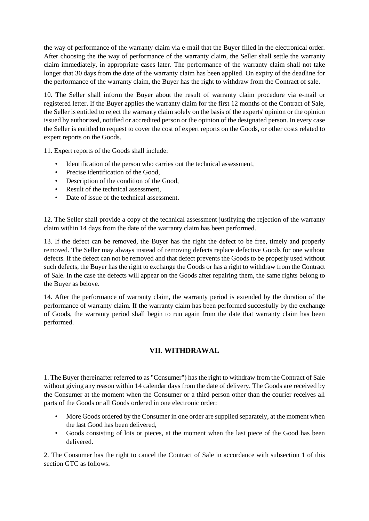the way of performance of the warranty claim via e-mail that the Buyer filled in the electronical order. After choosing the the way of performance of the warranty claim, the Seller shall settle the warranty claim immediately, in appropriate cases later. The performance of the warranty claim shall not take longer that 30 days from the date of the warranty claim has been applied. On expiry of the deadline for the performance of the warranty claim, the Buyer has the right to withdraw from the Contract of sale.

10. The Seller shall inform the Buyer about the result of warranty claim procedure via e-mail or registered letter. If the Buyer applies the warranty claim for the first 12 months of the Contract of Sale, the Seller is entitled to reject the warranty claim solely on the basis of the experts' opinion or the opinion issued by authorized, notified or accredited person or the opinion of the designated person. In every case the Seller is entitled to request to cover the cost of expert reports on the Goods, or other costs related to expert reports on the Goods.

11. Expert reports of the Goods shall include:

- Identification of the person who carries out the technical assessment,
- Precise identification of the Good,
- Description of the condition of the Good,
- Result of the technical assessment.
- Date of issue of the technical assessment.

12. The Seller shall provide a copy of the technical assessment justifying the rejection of the warranty claim within 14 days from the date of the warranty claim has been performed.

13. If the defect can be removed, the Buyer has the right the defect to be free, timely and properly removed. The Seller may always instead of removing defects replace defective Goods for one without defects. If the defect can not be removed and that defect prevents the Goods to be properly used without such defects, the Buyer has the right to exchange the Goods or has a right to withdraw from the Contract of Sale. In the case the defects will appear on the Goods after repairing them, the same rights belong to the Buyer as belove.

14. After the performance of warranty claim, the warranty period is extended by the duration of the performance of warranty claim. If the warranty claim has been performed succesfully by the exchange of Goods, the warranty period shall begin to run again from the date that warranty claim has been performed.

### **VII. WITHDRAWAL**

1. The Buyer (hereinafter referred to as "Consumer") has the right to withdraw from the Contract of Sale without giving any reason within 14 calendar days from the date of delivery. The Goods are received by the Consumer at the moment when the Consumer or a third person other than the courier receives all parts of the Goods or all Goods ordered in one electronic order:

- More Goods ordered by the Consumer in one order are supplied separately, at the moment when the last Good has been delivered,
- Goods consisting of lots or pieces, at the moment when the last piece of the Good has been delivered.

2. The Consumer has the right to cancel the Contract of Sale in accordance with subsection 1 of this section GTC as follows: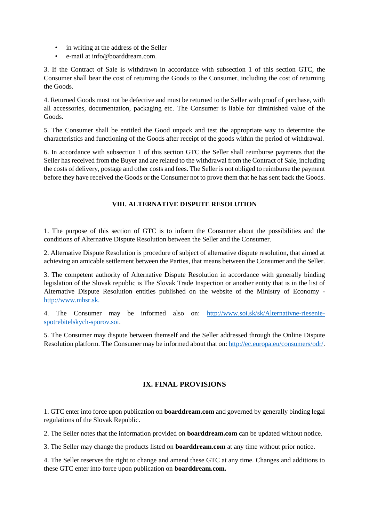- in writing at the address of the Seller
- e-mail at info@boarddream.com

3. If the Contract of Sale is withdrawn in accordance with subsection 1 of this section GTC, the Consumer shall bear the cost of returning the Goods to the Consumer, including the cost of returning the Goods.

4. Returned Goods must not be defective and must be returned to the Seller with proof of purchase, with all accessories, documentation, packaging etc. The Consumer is liable for diminished value of the Goods.

5. The Consumer shall be entitled the Good unpack and test the appropriate way to determine the characteristics and functioning of the Goods after receipt of the goods within the period of withdrawal.

6. In accordance with subsection 1 of this section GTC the Seller shall reimburse payments that the Seller has received from the Buyer and are related to the withdrawal from the Contract of Sale, including the costs of delivery, postage and other costs and fees. The Seller is not obliged to reimburse the payment before they have received the Goods or the Consumer not to prove them that he has sent back the Goods.

### **VIII. ALTERNATIVE DISPUTE RESOLUTION**

1. The purpose of this section of GTC is to inform the Consumer about the possibilities and the conditions of Alternative Dispute Resolution between the Seller and the Consumer.

2. Alternative Dispute Resolution is procedure of subject of alternative dispute resolution, that aimed at achieving an amicable settlement between the Parties, that means between the Consumer and the Seller.

3. The competent authority of Alternative Dispute Resolution in accordance with generally binding legislation of the Slovak republic is The Slovak Trade Inspection or another entity that is in the list of Alternative Dispute Resolution entities published on the website of the Ministry of Economy [http://www.mhsr.sk.](http://www.mhsr.sk/)

4. The Consumer may be informed also on: [http://www.soi.sk/sk/Alternativne-riesenie](http://www.soi.sk/sk/Alternativne-riesenie-spotrebitelskych-sporov.soi)[spotrebitelskych-sporov.soi.](http://www.soi.sk/sk/Alternativne-riesenie-spotrebitelskych-sporov.soi)

5. The Consumer may dispute between themself and the Seller addressed through the Online Dispute Resolution platform. The Consumer may be informed about that on: [http://ec.europa.eu/consumers/odr/.](http://ec.europa.eu/consumers/odr/)

### **IX. FINAL PROVISIONS**

1. GTC enter into force upon publication on **boarddream.com** and governed by generally binding legal regulations of the Slovak Republic.

2. The Seller notes that the information provided on **boarddream.com** can be updated without notice.

3. The Seller may change the products listed on **boarddream.com** at any time without prior notice.

4. The Seller reserves the right to change and amend these GTC at any time. Changes and additions to these GTC enter into force upon publication on **boarddream.com.**